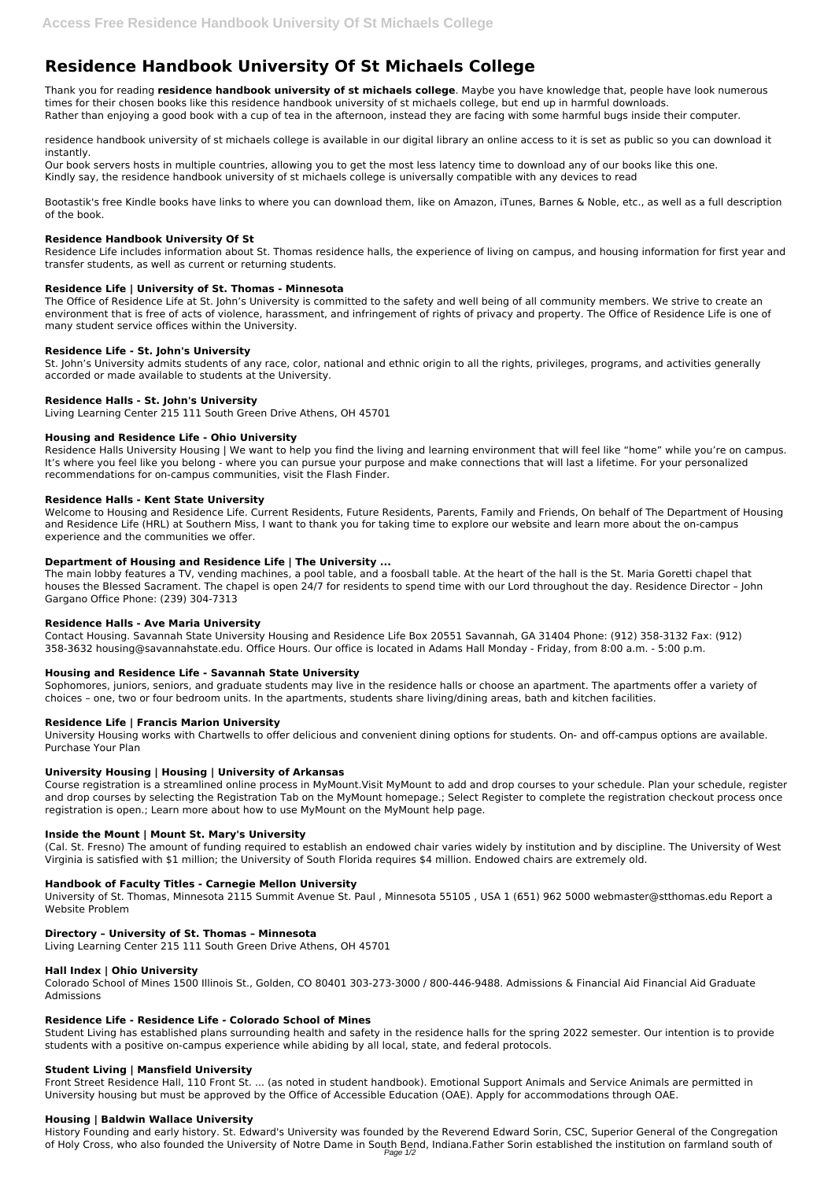# **Residence Handbook University Of St Michaels College**

Thank you for reading **residence handbook university of st michaels college**. Maybe you have knowledge that, people have look numerous times for their chosen books like this residence handbook university of st michaels college, but end up in harmful downloads. Rather than enjoying a good book with a cup of tea in the afternoon, instead they are facing with some harmful bugs inside their computer.

residence handbook university of st michaels college is available in our digital library an online access to it is set as public so you can download it instantly.

Our book servers hosts in multiple countries, allowing you to get the most less latency time to download any of our books like this one. Kindly say, the residence handbook university of st michaels college is universally compatible with any devices to read

Bootastik's free Kindle books have links to where you can download them, like on Amazon, iTunes, Barnes & Noble, etc., as well as a full description of the book.

#### **Residence Handbook University Of St**

Residence Life includes information about St. Thomas residence halls, the experience of living on campus, and housing information for first year and transfer students, as well as current or returning students.

## **Residence Life | University of St. Thomas - Minnesota**

The Office of Residence Life at St. John's University is committed to the safety and well being of all community members. We strive to create an environment that is free of acts of violence, harassment, and infringement of rights of privacy and property. The Office of Residence Life is one of many student service offices within the University.

#### **Residence Life - St. John's University**

St. John's University admits students of any race, color, national and ethnic origin to all the rights, privileges, programs, and activities generally accorded or made available to students at the University.

## **Residence Halls - St. John's University**

Living Learning Center 215 111 South Green Drive Athens, OH 45701

## **Housing and Residence Life - Ohio University**

Residence Halls University Housing | We want to help you find the living and learning environment that will feel like "home" while you're on campus. It's where you feel like you belong - where you can pursue your purpose and make connections that will last a lifetime. For your personalized recommendations for on-campus communities, visit the Flash Finder.

#### **Residence Halls - Kent State University**

Welcome to Housing and Residence Life. Current Residents, Future Residents, Parents, Family and Friends, On behalf of The Department of Housing and Residence Life (HRL) at Southern Miss, I want to thank you for taking time to explore our website and learn more about the on-campus experience and the communities we offer.

#### **Department of Housing and Residence Life | The University ...**

The main lobby features a TV, vending machines, a pool table, and a foosball table. At the heart of the hall is the St. Maria Goretti chapel that houses the Blessed Sacrament. The chapel is open 24/7 for residents to spend time with our Lord throughout the day. Residence Director – John Gargano Office Phone: (239) 304-7313

#### **Residence Halls - Ave Maria University**

Contact Housing. Savannah State University Housing and Residence Life Box 20551 Savannah, GA 31404 Phone: (912) 358-3132 Fax: (912) 358-3632 housing@savannahstate.edu. Office Hours. Our office is located in Adams Hall Monday - Friday, from 8:00 a.m. - 5:00 p.m.

#### **Housing and Residence Life - Savannah State University**

Sophomores, juniors, seniors, and graduate students may live in the residence halls or choose an apartment. The apartments offer a variety of choices – one, two or four bedroom units. In the apartments, students share living/dining areas, bath and kitchen facilities.

#### **Residence Life | Francis Marion University**

University Housing works with Chartwells to offer delicious and convenient dining options for students. On- and off-campus options are available. Purchase Your Plan

#### **University Housing | Housing | University of Arkansas**

Course registration is a streamlined online process in MyMount.Visit MyMount to add and drop courses to your schedule. Plan your schedule, register and drop courses by selecting the Registration Tab on the MyMount homepage.; Select Register to complete the registration checkout process once registration is open.; Learn more about how to use MyMount on the MyMount help page.

#### **Inside the Mount | Mount St. Mary's University**

(Cal. St. Fresno) The amount of funding required to establish an endowed chair varies widely by institution and by discipline. The University of West Virginia is satisfied with \$1 million; the University of South Florida requires \$4 million. Endowed chairs are extremely old.

#### **Handbook of Faculty Titles - Carnegie Mellon University**

University of St. Thomas, Minnesota 2115 Summit Avenue St. Paul , Minnesota 55105 , USA 1 (651) 962 5000 webmaster@stthomas.edu Report a Website Problem

#### **Directory – University of St. Thomas – Minnesota**

Living Learning Center 215 111 South Green Drive Athens, OH 45701

#### **Hall Index | Ohio University**

Colorado School of Mines 1500 Illinois St., Golden, CO 80401 303-273-3000 / 800-446-9488. Admissions & Financial Aid Financial Aid Graduate Admissions

#### **Residence Life - Residence Life - Colorado School of Mines**

Student Living has established plans surrounding health and safety in the residence halls for the spring 2022 semester. Our intention is to provide students with a positive on-campus experience while abiding by all local, state, and federal protocols.

#### **Student Living | Mansfield University**

Front Street Residence Hall, 110 Front St. ... (as noted in student handbook). Emotional Support Animals and Service Animals are permitted in University housing but must be approved by the Office of Accessible Education (OAE). Apply for accommodations through OAE.

#### **Housing | Baldwin Wallace University**

History Founding and early history. St. Edward's University was founded by the Reverend Edward Sorin, CSC, Superior General of the Congregation of Holy Cross, who also founded the University of Notre Dame in South Bend, Indiana.Father Sorin established the institution on farmland south of Page 1/2